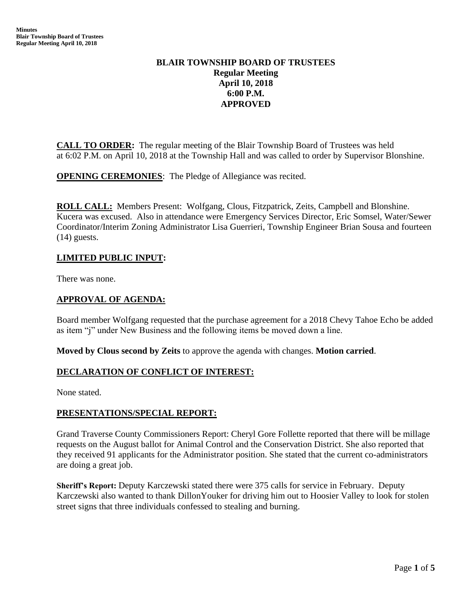# **BLAIR TOWNSHIP BOARD OF TRUSTEES Regular Meeting April 10, 2018 6:00 P.M. APPROVED**

**CALL TO ORDER:** The regular meeting of the Blair Township Board of Trustees was held at 6:02 P.M. on April 10, 2018 at the Township Hall and was called to order by Supervisor Blonshine.

**OPENING CEREMONIES**: The Pledge of Allegiance was recited.

**ROLL CALL:** Members Present: Wolfgang, Clous, Fitzpatrick, Zeits, Campbell and Blonshine. Kucera was excused. Also in attendance were Emergency Services Director, Eric Somsel, Water/Sewer Coordinator/Interim Zoning Administrator Lisa Guerrieri, Township Engineer Brian Sousa and fourteen (14) guests.

## **LIMITED PUBLIC INPUT:**

There was none.

# **APPROVAL OF AGENDA:**

Board member Wolfgang requested that the purchase agreement for a 2018 Chevy Tahoe Echo be added as item "j" under New Business and the following items be moved down a line.

**Moved by Clous second by Zeits** to approve the agenda with changes. **Motion carried**.

## **DECLARATION OF CONFLICT OF INTEREST:**

None stated.

## **PRESENTATIONS/SPECIAL REPORT:**

Grand Traverse County Commissioners Report: Cheryl Gore Follette reported that there will be millage requests on the August ballot for Animal Control and the Conservation District. She also reported that they received 91 applicants for the Administrator position. She stated that the current co-administrators are doing a great job.

**Sheriff's Report:** Deputy Karczewski stated there were 375 calls for service in February. Deputy Karczewski also wanted to thank DillonYouker for driving him out to Hoosier Valley to look for stolen street signs that three individuals confessed to stealing and burning.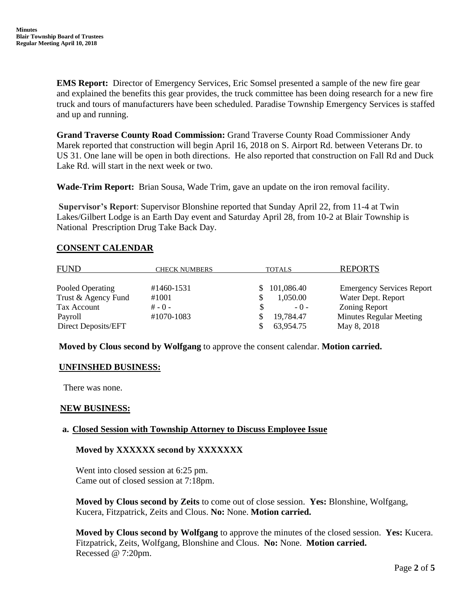**EMS Report:** Director of Emergency Services, Eric Somsel presented a sample of the new fire gear and explained the benefits this gear provides, the truck committee has been doing research for a new fire truck and tours of manufacturers have been scheduled. Paradise Township Emergency Services is staffed and up and running.

**Grand Traverse County Road Commission:** Grand Traverse County Road Commissioner Andy Marek reported that construction will begin April 16, 2018 on S. Airport Rd. between Veterans Dr. to US 31. One lane will be open in both directions. He also reported that construction on Fall Rd and Duck Lake Rd. will start in the next week or two.

**Wade-Trim Report:** Brian Sousa, Wade Trim, gave an update on the iron removal facility.

**Supervisor's Report**: Supervisor Blonshine reported that Sunday April 22, from 11-4 at Twin Lakes/Gilbert Lodge is an Earth Day event and Saturday April 28, from 10-2 at Blair Township is National Prescription Drug Take Back Day.

## **CONSENT CALENDAR**

| <b>FUND</b>         | <b>CHECK NUMBERS</b> | <b>TOTALS</b> | <b>REPORTS</b>                   |
|---------------------|----------------------|---------------|----------------------------------|
| Pooled Operating    | #1460-1531           | 101,086.40    | <b>Emergency Services Report</b> |
| Trust & Agency Fund | #1001                | 1,050.00      | Water Dept. Report               |
| Tax Account         | $# - 0 -$            | $-0-$         | <b>Zoning Report</b>             |
| Payroll             | #1070-1083           | 19,784.47     | <b>Minutes Regular Meeting</b>   |
| Direct Deposits/EFT |                      | 63,954.75     | May 8, 2018                      |

 **Moved by Clous second by Wolfgang** to approve the consent calendar. **Motion carried.**

## **UNFINSHED BUSINESS:**

There was none.

## **NEW BUSINESS:**

## **a. Closed Session with Township Attorney to Discuss Employee Issue**

## **Moved by XXXXXX second by XXXXXXX**

Went into closed session at 6:25 pm. Came out of closed session at 7:18pm.

**Moved by Clous second by Zeits** to come out of close session. **Yes:** Blonshine, Wolfgang, Kucera, Fitzpatrick, Zeits and Clous. **No:** None. **Motion carried.**

**Moved by Clous second by Wolfgang** to approve the minutes of the closed session. **Yes:** Kucera. Fitzpatrick, Zeits, Wolfgang, Blonshine and Clous. **No:** None. **Motion carried.** Recessed @ 7:20pm.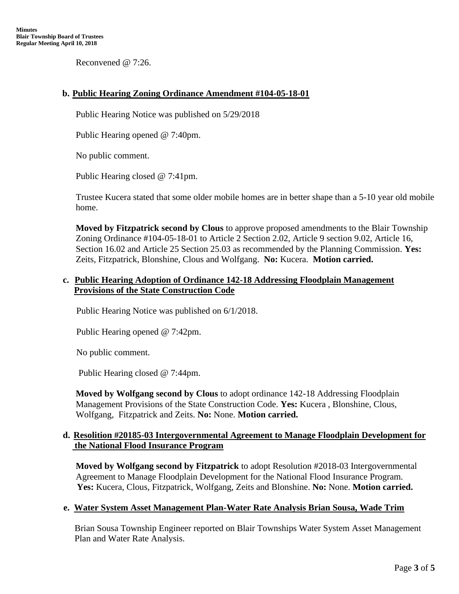Reconvened @ 7:26.

#### **b. Public Hearing Zoning Ordinance Amendment #104-05-18-01**

Public Hearing Notice was published on 5/29/2018

Public Hearing opened @ 7:40pm.

No public comment.

Public Hearing closed @ 7:41pm.

Trustee Kucera stated that some older mobile homes are in better shape than a 5-10 year old mobile home.

**Moved by Fitzpatrick second by Clous** to approve proposed amendments to the Blair Township Zoning Ordinance #104-05-18-01 to Article 2 Section 2.02, Article 9 section 9.02, Article 16, Section 16.02 and Article 25 Section 25.03 as recommended by the Planning Commission. **Yes:**  Zeits, Fitzpatrick, Blonshine, Clous and Wolfgang. **No:** Kucera. **Motion carried.**

## **c. Public Hearing Adoption of Ordinance 142-18 Addressing Floodplain Management Provisions of the State Construction Code**

Public Hearing Notice was published on 6/1/2018.

Public Hearing opened @ 7:42pm.

No public comment.

Public Hearing closed @ 7:44pm.

**Moved by Wolfgang second by Clous** to adopt ordinance 142-18 Addressing Floodplain Management Provisions of the State Construction Code. **Yes:** Kucera , Blonshine, Clous, Wolfgang, Fitzpatrick and Zeits. **No:** None. **Motion carried.**

## **d. Resolition #20185-03 Intergovernmental Agreement to Manage Floodplain Development for the National Flood Insurance Program**

**Moved by Wolfgang second by Fitzpatrick** to adopt Resolution #2018-03 Intergovernmental Agreement to Manage Floodplain Development for the National Flood Insurance Program.  **Yes:** Kucera, Clous, Fitzpatrick, Wolfgang, Zeits and Blonshine. **No:** None. **Motion carried.**

#### **e. Water System Asset Management Plan-Water Rate Analysis Brian Sousa, Wade Trim**

Brian Sousa Township Engineer reported on Blair Townships Water System Asset Management Plan and Water Rate Analysis.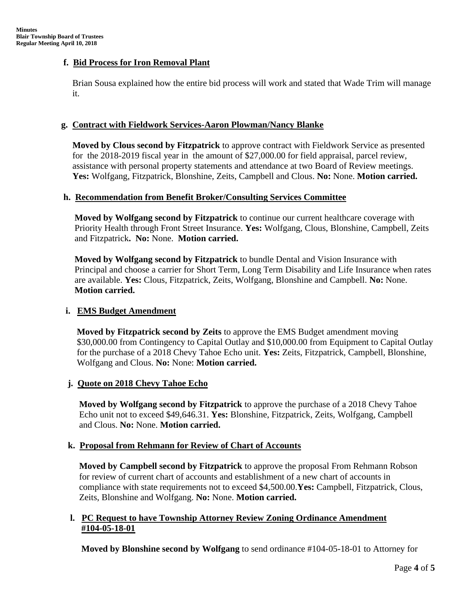## **f. Bid Process for Iron Removal Plant**

 Brian Sousa explained how the entire bid process will work and stated that Wade Trim will manage it.

## **g. Contract with Fieldwork Services-Aaron Plowman/Nancy Blanke**

 **Moved by Clous second by Fitzpatrick** to approve contract with Fieldwork Service as presented for the 2018-2019 fiscal year in the amount of \$27,000.00 for field appraisal, parcel review, assistance with personal property statements and attendance at two Board of Review meetings. **Yes:** Wolfgang, Fitzpatrick, Blonshine, Zeits, Campbell and Clous. **No:** None. **Motion carried.**

## **h. Recommendation from Benefit Broker/Consulting Services Committee**

 **Moved by Wolfgang second by Fitzpatrick** to continue our current healthcare coverage with Priority Health through Front Street Insurance. **Yes:** Wolfgang, Clous, Blonshine, Campbell, Zeits and Fitzpatrick**. No:** None. **Motion carried.**

 **Moved by Wolfgang second by Fitzpatrick** to bundle Dental and Vision Insurance with Principal and choose a carrier for Short Term, Long Term Disability and Life Insurance when rates are available. **Yes:** Clous, Fitzpatrick, Zeits, Wolfgang, Blonshine and Campbell. **No:** None. **Motion carried.**

## **i. EMS Budget Amendment**

 **Moved by Fitzpatrick second by Zeits** to approve the EMS Budget amendment moving \$30,000.00 from Contingency to Capital Outlay and \$10,000.00 from Equipment to Capital Outlay for the purchase of a 2018 Chevy Tahoe Echo unit. **Yes:** Zeits, Fitzpatrick, Campbell, Blonshine, Wolfgang and Clous. **No:** None: **Motion carried.**

## **j. Quote on 2018 Chevy Tahoe Echo**

 **Moved by Wolfgang second by Fitzpatrick** to approve the purchase of a 2018 Chevy Tahoe Echo unit not to exceed \$49,646.31. **Yes:** Blonshine, Fitzpatrick, Zeits, Wolfgang, Campbell and Clous. **No:** None. **Motion carried.**

## **k. Proposal from Rehmann for Review of Chart of Accounts**

 **Moved by Campbell second by Fitzpatrick** to approve the proposal From Rehmann Robson for review of current chart of accounts and establishment of a new chart of accounts in compliance with state requirements not to exceed \$4,500.00.**Yes:** Campbell, Fitzpatrick, Clous, Zeits, Blonshine and Wolfgang. **No:** None. **Motion carried.**

## **l. PC Request to have Township Attorney Review Zoning Ordinance Amendment #104-05-18-01**

**Moved by Blonshine second by Wolfgang** to send ordinance #104-05-18-01 to Attorney for